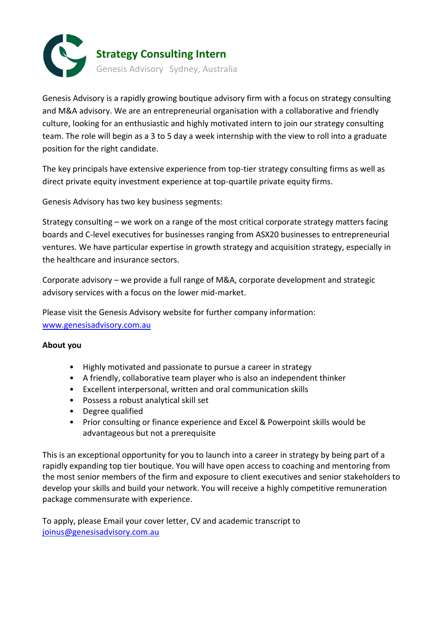

Genesis Advisory is a rapidly growing boutique advisory firm with a focus on strategy consulting and M&A advisory. We are an entrepreneurial organisation with a collaborative and friendly culture, looking for an enthusiastic and highly motivated intern to join our strategy consulting team. The role will begin as a 3 to 5 day a week internship with the view to roll into a graduate position for the right candidate.

The key principals have extensive experience from top-tier strategy consulting firms as well as direct private equity investment experience at top-quartile private equity firms.

Genesis Advisory has two key business segments:

Strategy consulting – we work on a range of the most critical corporate strategy matters facing boards and C-level executives for businesses ranging from ASX20 businesses to entrepreneurial ventures. We have particular expertise in growth strategy and acquisition strategy, especially in the healthcare and insurance sectors.

Corporate advisory – we provide a full range of M&A, corporate development and strategic advisory services with a focus on the lower mid-market.

Please visit the Genesis Advisory website for further company information: [www.genesisadvisory.com.au](http://www.genesisadvisory.com.au/)

# **About you**

- Highly motivated and passionate to pursue a career in strategy
- A friendly, collaborative team player who is also an independent thinker
- Excellent interpersonal, written and oral communication skills
- Possess a robust analytical skill set
- Degree qualified
- Prior consulting or finance experience and Excel & Powerpoint skills would be advantageous but not a prerequisite

This is an exceptional opportunity for you to launch into a career in strategy by being part of a rapidly expanding top tier boutique. You will have open access to coaching and mentoring from the most senior members of the firm and exposure to client executives and senior stakeholders to develop your skills and build your network. You will receive a highly competitive remuneration package commensurate with experience.

To apply, please Email your cover letter, CV and academic transcript to [joinus@genesisadvisory.com.au](mailto:joinus@genesisadvisory.com.au)